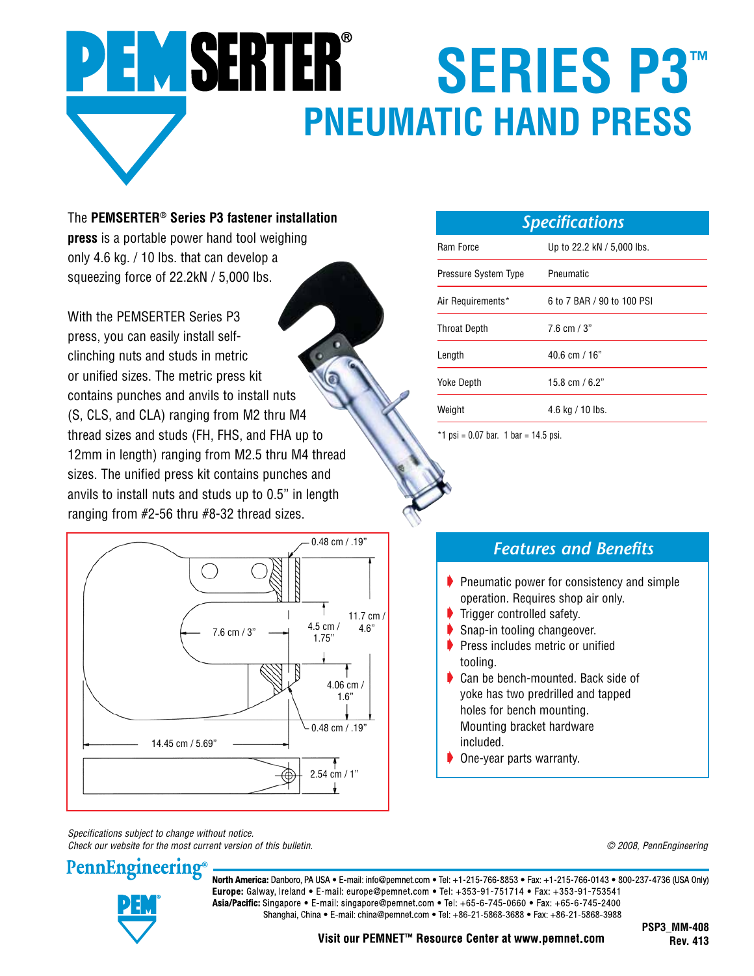## **PEMSERTER® SERIES P3™ PNEUMATIC HAND PRESS**

The **PEMSERTER® Series P3 fastener installation press** is a portable power hand tool weighing only 4.6 kg. / 10 lbs. that can develop a squeezing force of 22.2kN / 5,000 lbs.

With the PEMSERTER Series P3 press, you can easily install selfclinching nuts and studs in metric or unified sizes. The metric press kit contains punches and anvils to install nuts (S, CLS, and CLA) ranging from M2 thru M4 thread sizes and studs (FH, FHS, and FHA up to 12mm in length) ranging from M2.5 thru M4 thread sizes. The unified press kit contains punches and anvils to install nuts and studs up to 0.5" in length ranging from #2-56 thru #8-32 thread sizes.



| <b>Specifications</b> |                            |
|-----------------------|----------------------------|
| Ram Force             | Up to 22.2 kN / 5,000 lbs. |
| Pressure System Type  | Pneumatic                  |
| Air Requirements*     | 6 to 7 BAR / 90 to 100 PSI |
| <b>Throat Depth</b>   | 7.6 cm $/$ 3"              |
| Length                | $40.6$ cm $/ 16"$          |
| <b>Yoke Depth</b>     | 15.8 cm / 6.2"             |
| Weight                | $4.6$ kg / 10 lbs.         |

\*1 psi = 0.07 bar. 1 bar = 14.5 psi.

## *Features and Benefits*

- $\blacktriangleright$  Pneumatic power for consistency and simple operation. Requires shop air only.
- Trigger controlled safety.
- Snap-in tooling changeover.
- $\blacktriangleright$  Press includes metric or unified tooling.
- Can be bench-mounted. Back side of yoke has two predrilled and tapped holes for bench mounting. Mounting bracket hardware included.
- **One-year parts warranty.**

*Specifications subject to change without notice. Check our website for the most current version of this bulletin. © 2008, PennEngineering*



**PennEngineering** 

North America: Danboro, PA USA . E-mail: info@pemnet.com . Tel: +1-215-766-8853 . Fax: +1-215-766-0143 . 800-237-4736 (USA Only) Europe: Galway, Ireland • E-mail: europe@pemnet.com • Tel: +353-91-751714 • Fax: +353-91-753541 Asia/Pacific: Singapore • E-mail: singapore@pemnet.com • Tel: +65-6-745-0660 • Fax: +65-6-745-2400 Shanghai, China • E-mail: china@pemnet.com • Tel: +86-21-5868-3688 • Fax: +86-21-5868-3988

Visit our PEMNET<sup>™</sup> Resource Center at www.pemnet.com

**PSP3\_MM-408 Rev. 413**